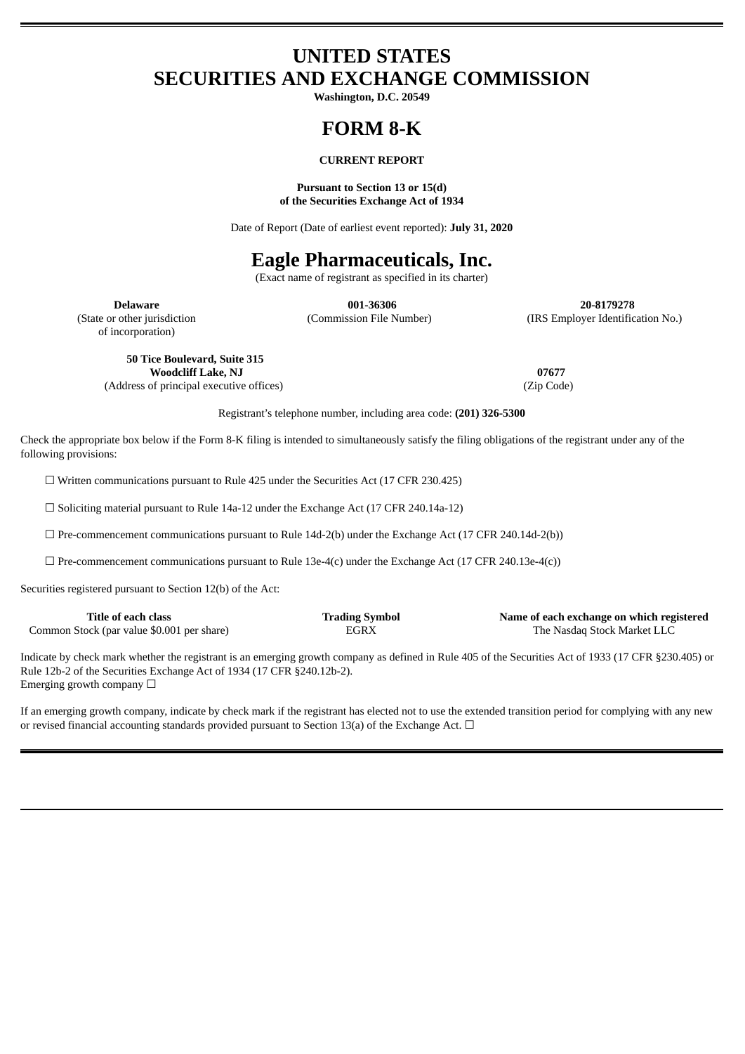# **UNITED STATES SECURITIES AND EXCHANGE COMMISSION**

**Washington, D.C. 20549**

# **FORM 8-K**

### **CURRENT REPORT**

#### **Pursuant to Section 13 or 15(d) of the Securities Exchange Act of 1934**

Date of Report (Date of earliest event reported): **July 31, 2020**

## **Eagle Pharmaceuticals, Inc.**

(Exact name of registrant as specified in its charter)

of incorporation)

**Delaware 001-36306 20-8179278** (State or other jurisdiction (Commission File Number) (IRS Employer Identification No.)

**50 Tice Boulevard, Suite 315 Woodcliff Lake, NJ 07677** (Address of principal executive offices) (Zip Code)

Registrant's telephone number, including area code: **(201) 326-5300**

Check the appropriate box below if the Form 8-K filing is intended to simultaneously satisfy the filing obligations of the registrant under any of the following provisions:

☐ Written communications pursuant to Rule 425 under the Securities Act (17 CFR 230.425)

☐ Soliciting material pursuant to Rule 14a-12 under the Exchange Act (17 CFR 240.14a-12)

 $\square$  Pre-commencement communications pursuant to Rule 14d-2(b) under the Exchange Act (17 CFR 240.14d-2(b))

 $\Box$  Pre-commencement communications pursuant to Rule 13e-4(c) under the Exchange Act (17 CFR 240.13e-4(c))

Securities registered pursuant to Section 12(b) of the Act:

| Title of each class                        | <b>Trading Symbol</b> | Name of each exchange on which registered |
|--------------------------------------------|-----------------------|-------------------------------------------|
| Common Stock (par value \$0.001 per share) | EGRX                  | The Nasdag Stock Market LLC               |

Indicate by check mark whether the registrant is an emerging growth company as defined in Rule 405 of the Securities Act of 1933 (17 CFR §230.405) or Rule 12b-2 of the Securities Exchange Act of 1934 (17 CFR §240.12b-2). Emerging growth company  $\Box$ 

If an emerging growth company, indicate by check mark if the registrant has elected not to use the extended transition period for complying with any new or revised financial accounting standards provided pursuant to Section 13(a) of the Exchange Act.  $\Box$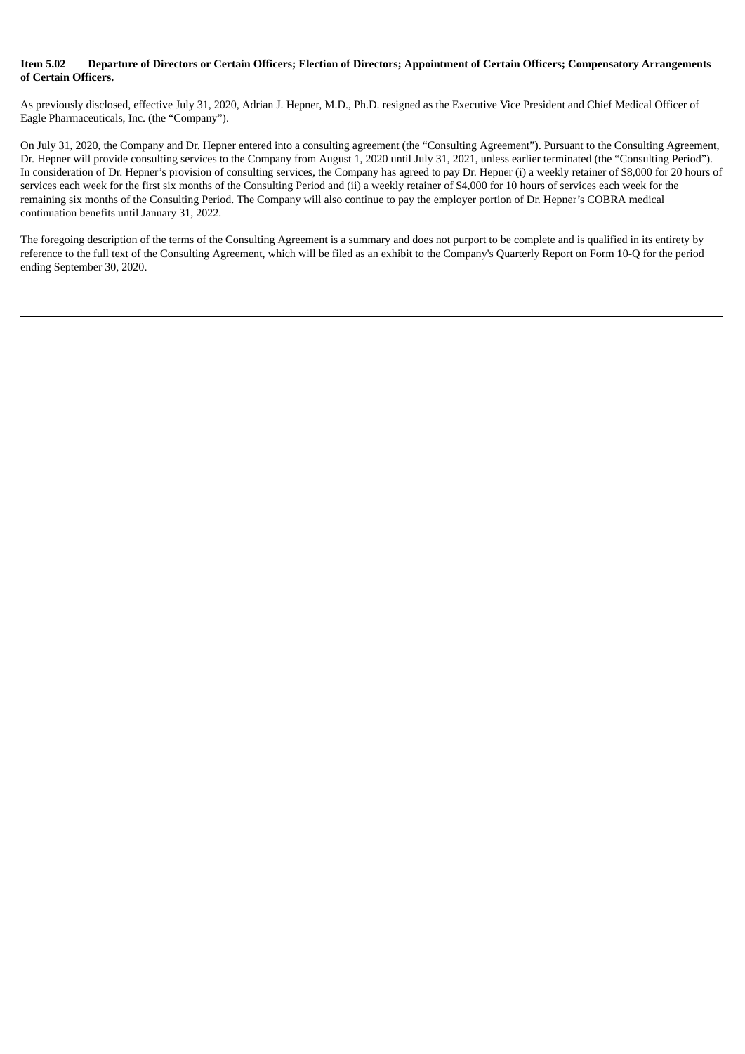#### Item 5.02 Departure of Directors or Certain Officers: Election of Directors: Appointment of Certain Officers: Compensatory Arrangements **of Certain Officers.**

As previously disclosed, effective July 31, 2020, Adrian J. Hepner, M.D., Ph.D. resigned as the Executive Vice President and Chief Medical Officer of Eagle Pharmaceuticals, Inc. (the "Company").

On July 31, 2020, the Company and Dr. Hepner entered into a consulting agreement (the "Consulting Agreement"). Pursuant to the Consulting Agreement, Dr. Hepner will provide consulting services to the Company from August 1, 2020 until July 31, 2021, unless earlier terminated (the "Consulting Period"). In consideration of Dr. Hepner's provision of consulting services, the Company has agreed to pay Dr. Hepner (i) a weekly retainer of \$8,000 for 20 hours of services each week for the first six months of the Consulting Period and (ii) a weekly retainer of \$4,000 for 10 hours of services each week for the remaining six months of the Consulting Period. The Company will also continue to pay the employer portion of Dr. Hepner's COBRA medical continuation benefits until January 31, 2022.

The foregoing description of the terms of the Consulting Agreement is a summary and does not purport to be complete and is qualified in its entirety by reference to the full text of the Consulting Agreement, which will be filed as an exhibit to the Company's Quarterly Report on Form 10-Q for the period ending September 30, 2020.